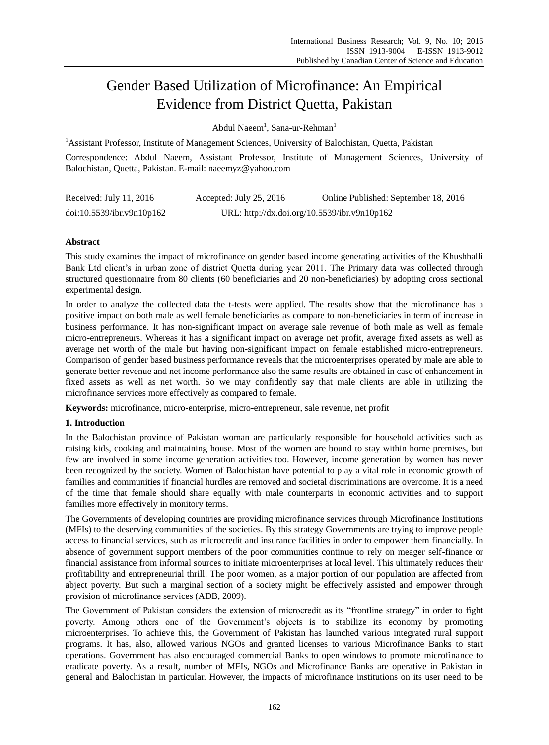# Gender Based Utilization of Microfinance: An Empirical Evidence from District Quetta, Pakistan

Abdul Naeem<sup>1</sup>, Sana-ur-Rehman<sup>1</sup>

<sup>1</sup> Assistant Professor, Institute of Management Sciences, University of Balochistan, Quetta, Pakistan

Correspondence: Abdul Naeem, Assistant Professor, Institute of Management Sciences, University of Balochistan, Quetta, Pakistan. E-mail: naeemyz@yahoo.com

| Received: July 11, 2016   | Accepted: July $25, 2016$ | Online Published: September 18, 2016         |
|---------------------------|---------------------------|----------------------------------------------|
| doi:10.5539/ibr.v9n10p162 |                           | URL: http://dx.doi.org/10.5539/ibr.v9n10p162 |

# **Abstract**

This study examines the impact of microfinance on gender based income generating activities of the Khushhalli Bank Ltd client's in urban zone of district Quetta during year 2011. The Primary data was collected through structured questionnaire from 80 clients (60 beneficiaries and 20 non-beneficiaries) by adopting cross sectional experimental design.

In order to analyze the collected data the t-tests were applied. The results show that the microfinance has a positive impact on both male as well female beneficiaries as compare to non-beneficiaries in term of increase in business performance. It has non-significant impact on average sale revenue of both male as well as female micro-entrepreneurs. Whereas it has a significant impact on average net profit, average fixed assets as well as average net worth of the male but having non-significant impact on female established micro-entrepreneurs. Comparison of gender based business performance reveals that the microenterprises operated by male are able to generate better revenue and net income performance also the same results are obtained in case of enhancement in fixed assets as well as net worth. So we may confidently say that male clients are able in utilizing the microfinance services more effectively as compared to female.

**Keywords:** microfinance, micro-enterprise, micro-entrepreneur, sale revenue, net profit

## **1. Introduction**

In the Balochistan province of Pakistan woman are particularly responsible for household activities such as raising kids, cooking and maintaining house. Most of the women are bound to stay within home premises, but few are involved in some income generation activities too. However, income generation by women has never been recognized by the society. Women of Balochistan have potential to play a vital role in economic growth of families and communities if financial hurdles are removed and societal discriminations are overcome. It is a need of the time that female should share equally with male counterparts in economic activities and to support families more effectively in monitory terms.

The Governments of developing countries are providing microfinance services through Microfinance Institutions (MFIs) to the deserving communities of the societies. By this strategy Governments are trying to improve people access to financial services, such as microcredit and insurance facilities in order to empower them financially. In absence of government support members of the poor communities continue to rely on meager self-finance or financial assistance from informal sources to initiate microenterprises at local level. This ultimately reduces their profitability and entrepreneurial thrill. The poor women, as a major portion of our population are affected from abject poverty. But such a marginal section of a society might be effectively assisted and empower through provision of microfinance services (ADB, 2009).

The Government of Pakistan considers the extension of microcredit as its "frontline strategy" in order to fight poverty. Among others one of the Government's objects is to stabilize its economy by promoting microenterprises. To achieve this, the Government of Pakistan has launched various integrated rural support programs. It has, also, allowed various NGOs and granted licenses to various Microfinance Banks to start operations. Government has also encouraged commercial Banks to open windows to promote microfinance to eradicate poverty. As a result, number of MFIs, NGOs and Microfinance Banks are operative in Pakistan in general and Balochistan in particular. However, the impacts of microfinance institutions on its user need to be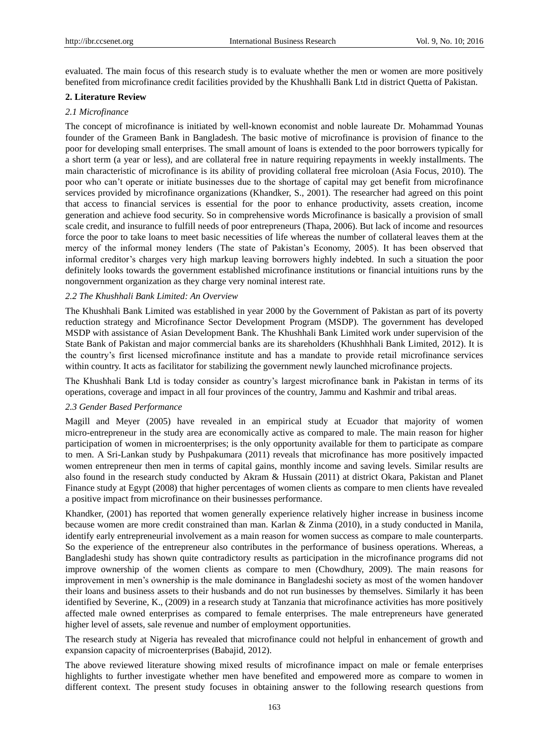evaluated. The main focus of this research study is to evaluate whether the men or women are more positively benefited from microfinance credit facilities provided by the Khushhalli Bank Ltd in district Quetta of Pakistan.

## **2. Literature Review**

## *2.1 Microfinance*

The concept of microfinance is initiated by well-known economist and noble laureate Dr. Mohammad Younas founder of the Grameen Bank in Bangladesh. The basic motive of microfinance is provision of finance to the poor for developing small enterprises. The small amount of loans is extended to the poor borrowers typically for a short term (a year or less), and are collateral free in nature requiring repayments in weekly installments. The main characteristic of microfinance is its ability of providing collateral free microloan (Asia Focus, 2010). The poor who can't operate or initiate businesses due to the shortage of capital may get benefit from microfinance services provided by microfinance organizations (Khandker, S., 2001). The researcher had agreed on this point that access to financial services is essential for the poor to enhance productivity, assets creation, income generation and achieve food security. So in comprehensive words Microfinance is basically a provision of small scale credit, and insurance to fulfill needs of poor entrepreneurs (Thapa, 2006). But lack of income and resources force the poor to take loans to meet basic necessities of life whereas the number of collateral leaves them at the mercy of the informal money lenders (The state of Pakistan's Economy, 2005). It has been observed that informal creditor's charges very high markup leaving borrowers highly indebted. In such a situation the poor definitely looks towards the government established microfinance institutions or financial intuitions runs by the nongovernment organization as they charge very nominal interest rate.

## *2.2 The Khushhali Bank Limited: An Overview*

The Khushhali Bank Limited was established in year 2000 by the Government of Pakistan as part of its poverty reduction strategy and Microfinance Sector Development Program (MSDP). The government has developed MSDP with assistance of Asian Development Bank. The Khushhali Bank Limited work under supervision of the State Bank of Pakistan and major commercial banks are its shareholders (Khushhhali Bank Limited, 2012). It is the country's first licensed microfinance institute and has a mandate to provide retail microfinance services within country. It acts as facilitator for stabilizing the government newly launched microfinance projects.

The Khushhali Bank Ltd is today consider as country's largest microfinance bank in Pakistan in terms of its operations, coverage and impact in all four provinces of the country, Jammu and Kashmir and tribal areas.

#### *2.3 Gender Based Performance*

Magill and Meyer (2005) have revealed in an empirical study at Ecuador that majority of women micro-entrepreneur in the study area are economically active as compared to male. The main reason for higher participation of women in microenterprises; is the only opportunity available for them to participate as compare to men. A Sri-Lankan study by Pushpakumara (2011) reveals that microfinance has more positively impacted women entrepreneur then men in terms of capital gains, monthly income and saving levels. Similar results are also found in the research study conducted by Akram & Hussain (2011) at district Okara, Pakistan and Planet Finance study at Egypt (2008) that higher percentages of women clients as compare to men clients have revealed a positive impact from microfinance on their businesses performance.

Khandker, (2001) has reported that women generally experience relatively higher increase in business income because women are more credit constrained than man. Karlan & Zinma (2010), in a study conducted in Manila, identify early entrepreneurial involvement as a main reason for women success as compare to male counterparts. So the experience of the entrepreneur also contributes in the performance of business operations. Whereas, a Bangladeshi study has shown quite contradictory results as participation in the microfinance programs did not improve ownership of the women clients as compare to men (Chowdhury, 2009). The main reasons for improvement in men's ownership is the male dominance in Bangladeshi society as most of the women handover their loans and business assets to their husbands and do not run businesses by themselves. Similarly it has been identified by Severine, K., (2009) in a research study at Tanzania that microfinance activities has more positively affected male owned enterprises as compared to female enterprises. The male entrepreneurs have generated higher level of assets, sale revenue and number of employment opportunities.

The research study at Nigeria has revealed that microfinance could not helpful in enhancement of growth and expansion capacity of microenterprises (Babajid, 2012).

The above reviewed literature showing mixed results of microfinance impact on male or female enterprises highlights to further investigate whether men have benefited and empowered more as compare to women in different context. The present study focuses in obtaining answer to the following research questions from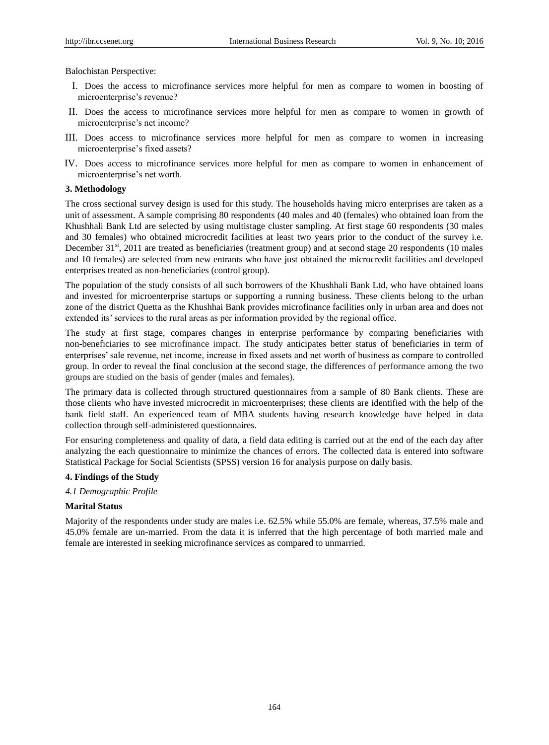Balochistan Perspective:

- I. Does the access to microfinance services more helpful for men as compare to women in boosting of microenterprise's revenue?
- II. Does the access to microfinance services more helpful for men as compare to women in growth of microenterprise's net income?
- III. Does access to microfinance services more helpful for men as compare to women in increasing microenterprise's fixed assets?
- IV. Does access to microfinance services more helpful for men as compare to women in enhancement of microenterprise's net worth.

## **3. Methodology**

The cross sectional survey design is used for this study. The households having micro enterprises are taken as a unit of assessment. A sample comprising 80 respondents (40 males and 40 (females) who obtained loan from the Khushhali Bank Ltd are selected by using multistage cluster sampling. At first stage 60 respondents (30 males and 30 females) who obtained microcredit facilities at least two years prior to the conduct of the survey i.e. December 31<sup>st</sup>, 2011 are treated as beneficiaries (treatment group) and at second stage 20 respondents (10 males and 10 females) are selected from new entrants who have just obtained the microcredit facilities and developed enterprises treated as non-beneficiaries (control group).

The population of the study consists of all such borrowers of the Khushhali Bank Ltd, who have obtained loans and invested for microenterprise startups or supporting a running business. These clients belong to the urban zone of the district Quetta as the Khushhai Bank provides microfinance facilities only in urban area and does not extended its' services to the rural areas as per information provided by the regional office.

The study at first stage, compares changes in enterprise performance by comparing beneficiaries with non-beneficiaries to see microfinance impact. The study anticipates better status of beneficiaries in term of enterprises' sale revenue, net income, increase in fixed assets and net worth of business as compare to controlled group. In order to reveal the final conclusion at the second stage, the differences of performance among the two groups are studied on the basis of gender (males and females).

The primary data is collected through structured questionnaires from a sample of 80 Bank clients. These are those clients who have invested microcredit in microenterprises; these clients are identified with the help of the bank field staff. An experienced team of MBA students having research knowledge have helped in data collection through self-administered questionnaires.

For ensuring completeness and quality of data, a field data editing is carried out at the end of the each day after analyzing the each questionnaire to minimize the chances of errors. The collected data is entered into software Statistical Package for Social Scientists (SPSS) version 16 for analysis purpose on daily basis.

#### **4. Findings of the Study**

#### *4.1 Demographic Profile*

#### **Marital Status**

Majority of the respondents under study are males i.e. 62.5% while 55.0% are female, whereas, 37.5% male and 45.0% female are un-married. From the data it is inferred that the high percentage of both married male and female are interested in seeking microfinance services as compared to unmarried.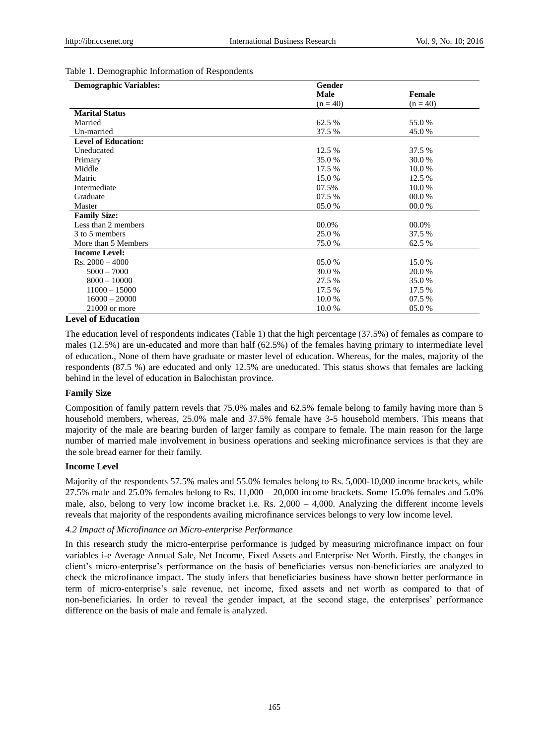## Table 1. Demographic Information of Respondents

| <b>Demographic Variables:</b> | Gender     |               |
|-------------------------------|------------|---------------|
|                               | Male       | <b>Female</b> |
|                               | $(n = 40)$ | $(n = 40)$    |
| <b>Marital Status</b>         |            |               |
| Married                       | 62.5 %     | 55.0 %        |
| Un-married                    | 37.5 %     | 45.0%         |
| <b>Level of Education:</b>    |            |               |
| Uneducated                    | 12.5 %     | 37.5 %        |
| Primary                       | 35.0%      | 30.0 %        |
| Middle                        | 17.5 %     | 10.0%         |
| Matric                        | 15.0 %     | 12.5 %        |
| Intermediate                  | 07.5%      | 10.0%         |
| Graduate                      | 07.5 %     | 00.0 %        |
| Master                        | 05.0%      | 00.0 %        |
| <b>Family Size:</b>           |            |               |
| Less than 2 members           | 00.0%      | 00.0%         |
| 3 to 5 members                | 25.0%      | 37.5 %        |
| More than 5 Members           | 75.0%      | 62.5 %        |
| <b>Income Level:</b>          |            |               |
| $Rs. 2000 - 4000$             | 05.0%      | 15.0 %        |
| $5000 - 7000$                 | 30.0 %     | 20.0 %        |
| $8000 - 10000$                | 27.5 %     | 35.0 %        |
| $11000 - 15000$               | 17.5 %     | 17.5 %        |
| $16000 - 20000$               | 10.0%      | 07.5 %        |
| $21000$ or more               | 10.0%      | 05.0%         |

#### **Level of Education**

The education level of respondents indicates (Table 1) that the high percentage (37.5%) of females as compare to males (12.5%) are un-educated and more than half (62.5%) of the females having primary to intermediate level of education., None of them have graduate or master level of education. Whereas, for the males, majority of the respondents (87.5 %) are educated and only 12.5% are uneducated. This status shows that females are lacking behind in the level of education in Balochistan province.

#### **Family Size**

Composition of family pattern revels that 75.0% males and 62.5% female belong to family having more than 5 household members, whereas, 25.0% male and 37.5% female have 3-5 household members. This means that majority of the male are bearing burden of larger family as compare to female. The main reason for the large number of married male involvement in business operations and seeking microfinance services is that they are the sole bread earner for their family.

## **Income Level**

Majority of the respondents 57.5% males and 55.0% females belong to Rs. 5,000-10,000 income brackets, while 27.5% male and 25.0% females belong to Rs. 11,000 – 20,000 income brackets. Some 15.0% females and 5.0% male, also, belong to very low income bracket i.e. Rs.  $2,000 - 4,000$ . Analyzing the different income levels reveals that majority of the respondents availing microfinance services belongs to very low income level.

## *4.2 Impact of Microfinance on Micro-enterprise Performance*

In this research study the micro-enterprise performance is judged by measuring microfinance impact on four variables i-e Average Annual Sale, Net Income, Fixed Assets and Enterprise Net Worth. Firstly, the changes in client's micro-enterprise's performance on the basis of beneficiaries versus non-beneficiaries are analyzed to check the microfinance impact. The study infers that beneficiaries business have shown better performance in term of micro-enterprise's sale revenue, net income, fixed assets and net worth as compared to that of non-beneficiaries. In order to reveal the gender impact, at the second stage, the enterprises' performance difference on the basis of male and female is analyzed.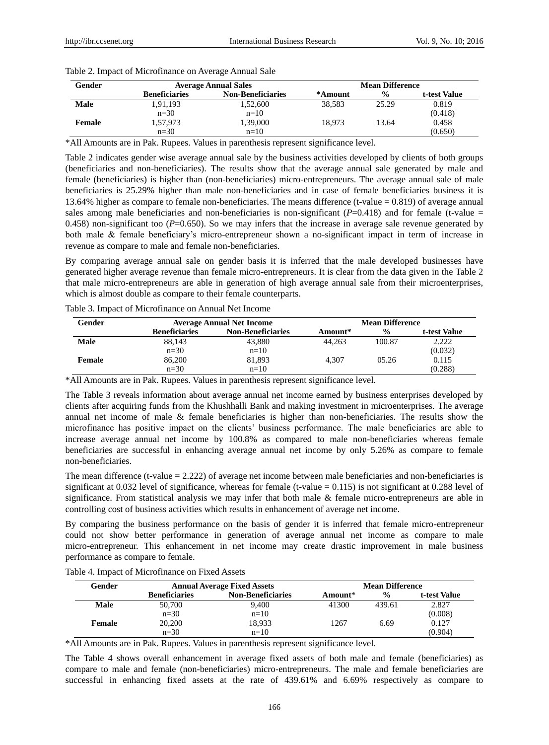| Gender      | <b>Average Annual Sales</b> |                          | <b>Mean Difference</b> |               |              |
|-------------|-----------------------------|--------------------------|------------------------|---------------|--------------|
|             | <b>Beneficiaries</b>        | <b>Non-Beneficiaries</b> | *Amount                | $\frac{0}{0}$ | t-test Value |
| <b>Male</b> | 1,91,193                    | 1,52,600                 | 38.583                 | 25.29         | 0.819        |
|             | $n=30$                      | $n=10$                   |                        |               | (0.418)      |
| Female      | 1.57.973                    | 1,39,000                 | 18.973                 | 13.64         | 0.458        |
|             | $n=30$                      | $n=10$                   |                        |               | (0.650)      |

Table 2. Impact of Microfinance on Average Annual Sale

\*All Amounts are in Pak. Rupees. Values in parenthesis represent significance level.

Table 2 indicates gender wise average annual sale by the business activities developed by clients of both groups (beneficiaries and non-beneficiaries). The results show that the average annual sale generated by male and female (beneficiaries) is higher than (non-beneficiaries) micro-entrepreneurs. The average annual sale of male beneficiaries is 25.29% higher than male non-beneficiaries and in case of female beneficiaries business it is 13.64% higher as compare to female non-beneficiaries. The means difference (t-value = 0.819) of average annual sales among male beneficiaries and non-beneficiaries is non-significant  $(P=0.418)$  and for female (t-value = 0.458) non-significant too  $(P=0.650)$ . So we may infers that the increase in average sale revenue generated by both male & female beneficiary's micro-entrepreneur shown a no-significant impact in term of increase in revenue as compare to male and female non-beneficiaries.

By comparing average annual sale on gender basis it is inferred that the male developed businesses have generated higher average revenue than female micro-entrepreneurs. It is clear from the data given in the Table 2 that male micro-entrepreneurs are able in generation of high average annual sale from their microenterprises, which is almost double as compare to their female counterparts.

| Gender      | <b>Average Annual Net Income</b> |                          | <b>Mean Difference</b> |               |              |
|-------------|----------------------------------|--------------------------|------------------------|---------------|--------------|
|             | <b>Beneficiaries</b>             | <b>Non-Beneficiaries</b> | Amount*                | $\frac{6}{6}$ | t-test Value |
| <b>Male</b> | 88,143                           | 43,880                   | 44.263                 | 100.87        | 2.222        |
|             | $n=30$                           | $n=10$                   |                        |               | (0.032)      |
| Female      | 86,200                           | 81,893                   | 4.307                  | 05.26         | 0.115        |
|             | $n=30$                           | $n=10$                   |                        |               | (0.288)      |

Table 3. Impact of Microfinance on Annual Net Income

\*All Amounts are in Pak. Rupees. Values in parenthesis represent significance level.

The Table 3 reveals information about average annual net income earned by business enterprises developed by clients after acquiring funds from the Khushhalli Bank and making investment in microenterprises. The average annual net income of male & female beneficiaries is higher than non-beneficiaries. The results show the microfinance has positive impact on the clients' business performance. The male beneficiaries are able to increase average annual net income by 100.8% as compared to male non-beneficiaries whereas female beneficiaries are successful in enhancing average annual net income by only 5.26% as compare to female non-beneficiaries.

The mean difference (t-value = 2.222) of average net income between male beneficiaries and non-beneficiaries is significant at 0.032 level of significance, whereas for female (t-value  $= 0.115$ ) is not significant at 0.288 level of significance. From statistical analysis we may infer that both male & female micro-entrepreneurs are able in controlling cost of business activities which results in enhancement of average net income.

By comparing the business performance on the basis of gender it is inferred that female micro-entrepreneur could not show better performance in generation of average annual net income as compare to male micro-entrepreneur. This enhancement in net income may create drastic improvement in male business performance as compare to female.

| Gender      |                      | <b>Annual Average Fixed Assets</b> |         | <b>Mean Difference</b> |              |
|-------------|----------------------|------------------------------------|---------|------------------------|--------------|
|             | <b>Beneficiaries</b> | <b>Non-Beneficiaries</b>           | Amount* | $\frac{0}{0}$          | t-test Value |
| <b>Male</b> | 50,700               | 9,400                              | 41300   | 439.61                 | 2.827        |
|             | $n=30$               | $n=10$                             |         |                        | (0.008)      |
| Female      | 20,200               | 18,933                             | 1267    | 6.69                   | 0.127        |
|             | $n=30$               | $n=10$                             |         |                        | (0.904)      |

Table 4. Impact of Microfinance on Fixed Assets

\*All Amounts are in Pak. Rupees. Values in parenthesis represent significance level.

The Table 4 shows overall enhancement in average fixed assets of both male and female (beneficiaries) as compare to male and female (non-beneficiaries) micro-entrepreneurs. The male and female beneficiaries are successful in enhancing fixed assets at the rate of 439.61% and 6.69% respectively as compare to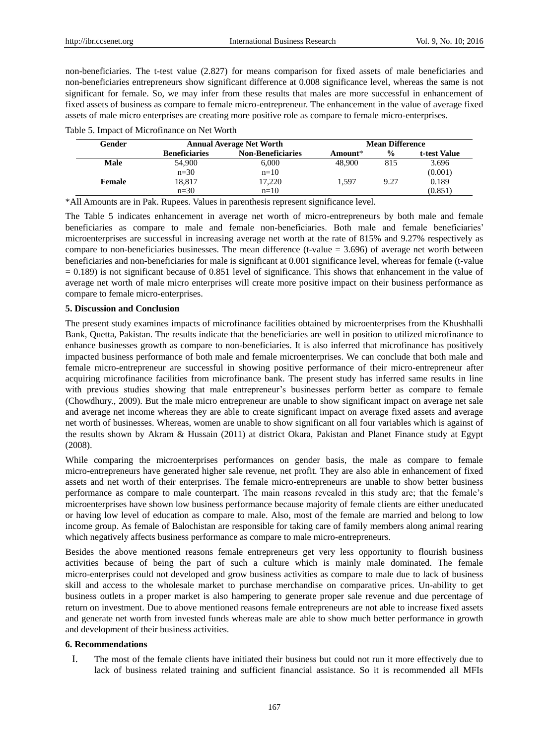non-beneficiaries. The t-test value (2.827) for means comparison for fixed assets of male beneficiaries and non-beneficiaries entrepreneurs show significant difference at 0.008 significance level, whereas the same is not significant for female. So, we may infer from these results that males are more successful in enhancement of fixed assets of business as compare to female micro-entrepreneur. The enhancement in the value of average fixed assets of male micro enterprises are creating more positive role as compare to female micro-enterprises.

|  | Table 5. Impact of Microfinance on Net Worth |  |
|--|----------------------------------------------|--|
|--|----------------------------------------------|--|

| Gender | <b>Annual Average Net Worth</b> |                          | <b>Mean Difference</b> |               |              |
|--------|---------------------------------|--------------------------|------------------------|---------------|--------------|
|        | <b>Beneficiaries</b>            | <b>Non-Beneficiaries</b> | Amount*                | $\frac{6}{9}$ | t-test Value |
| Male   | 54,900                          | 6,000                    | 48,900                 | 815           | 3.696        |
|        | $n=30$                          | $n=10$                   |                        |               | (0.001)      |
| Female | 18.817                          | 17.220                   | 1.597                  | 9.27          | 0.189        |
|        | $n=30$                          | $n=10$                   |                        |               | (0.851)      |

\*All Amounts are in Pak. Rupees. Values in parenthesis represent significance level.

The Table 5 indicates enhancement in average net worth of micro-entrepreneurs by both male and female beneficiaries as compare to male and female non-beneficiaries. Both male and female beneficiaries' microenterprises are successful in increasing average net worth at the rate of 815% and 9.27% respectively as compare to non-beneficiaries businesses. The mean difference (t-value  $= 3.696$ ) of average net worth between beneficiaries and non-beneficiaries for male is significant at 0.001 significance level, whereas for female (t-value  $= 0.189$ ) is not significant because of 0.851 level of significance. This shows that enhancement in the value of average net worth of male micro enterprises will create more positive impact on their business performance as compare to female micro-enterprises.

## **5. Discussion and Conclusion**

The present study examines impacts of microfinance facilities obtained by microenterprises from the Khushhalli Bank, Quetta, Pakistan. The results indicate that the beneficiaries are well in position to utilized microfinance to enhance businesses growth as compare to non-beneficiaries. It is also inferred that microfinance has positively impacted business performance of both male and female microenterprises. We can conclude that both male and female micro-entrepreneur are successful in showing positive performance of their micro-entrepreneur after acquiring microfinance facilities from microfinance bank. The present study has inferred same results in line with previous studies showing that male entrepreneur's businesses perform better as compare to female (Chowdhury., 2009). But the male micro entrepreneur are unable to show significant impact on average net sale and average net income whereas they are able to create significant impact on average fixed assets and average net worth of businesses. Whereas, women are unable to show significant on all four variables which is against of the results shown by Akram & Hussain (2011) at district Okara, Pakistan and Planet Finance study at Egypt (2008).

While comparing the microenterprises performances on gender basis, the male as compare to female micro-entrepreneurs have generated higher sale revenue, net profit. They are also able in enhancement of fixed assets and net worth of their enterprises. The female micro-entrepreneurs are unable to show better business performance as compare to male counterpart. The main reasons revealed in this study are; that the female's microenterprises have shown low business performance because majority of female clients are either uneducated or having low level of education as compare to male. Also, most of the female are married and belong to low income group. As female of Balochistan are responsible for taking care of family members along animal rearing which negatively affects business performance as compare to male micro-entrepreneurs.

Besides the above mentioned reasons female entrepreneurs get very less opportunity to flourish business activities because of being the part of such a culture which is mainly male dominated. The female micro-enterprises could not developed and grow business activities as compare to male due to lack of business skill and access to the wholesale market to purchase merchandise on comparative prices. Un-ability to get business outlets in a proper market is also hampering to generate proper sale revenue and due percentage of return on investment. Due to above mentioned reasons female entrepreneurs are not able to increase fixed assets and generate net worth from invested funds whereas male are able to show much better performance in growth and development of their business activities.

## **6. Recommendations**

I. The most of the female clients have initiated their business but could not run it more effectively due to lack of business related training and sufficient financial assistance. So it is recommended all MFIs